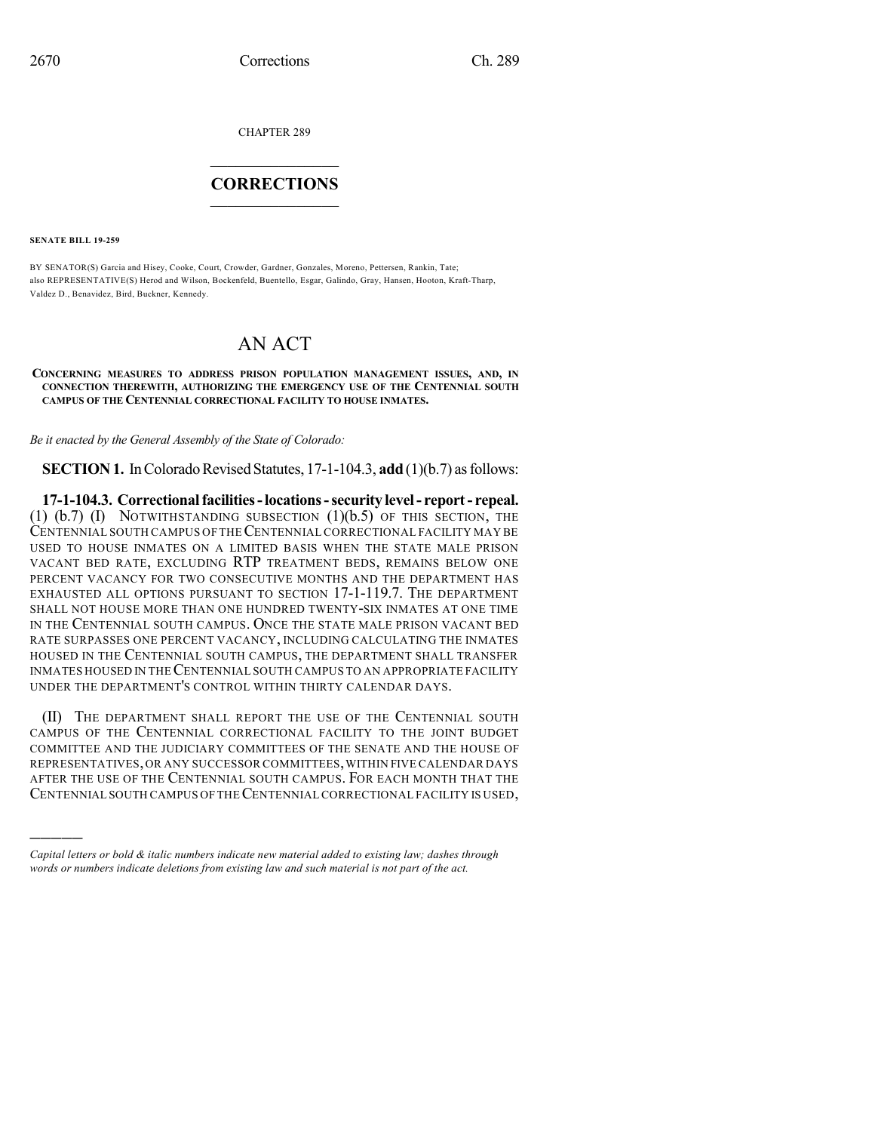CHAPTER 289

## $\overline{\phantom{a}}$  . The set of the set of the set of the set of the set of the set of the set of the set of the set of the set of the set of the set of the set of the set of the set of the set of the set of the set of the set o **CORRECTIONS**  $\frac{1}{2}$  ,  $\frac{1}{2}$  ,  $\frac{1}{2}$  ,  $\frac{1}{2}$  ,  $\frac{1}{2}$  ,  $\frac{1}{2}$

**SENATE BILL 19-259**

)))))

BY SENATOR(S) Garcia and Hisey, Cooke, Court, Crowder, Gardner, Gonzales, Moreno, Pettersen, Rankin, Tate; also REPRESENTATIVE(S) Herod and Wilson, Bockenfeld, Buentello, Esgar, Galindo, Gray, Hansen, Hooton, Kraft-Tharp, Valdez D., Benavidez, Bird, Buckner, Kennedy.

## AN ACT

## **CONCERNING MEASURES TO ADDRESS PRISON POPULATION MANAGEMENT ISSUES, AND, IN CONNECTION THEREWITH, AUTHORIZING THE EMERGENCY USE OF THE CENTENNIAL SOUTH CAMPUS OF THE CENTENNIAL CORRECTIONAL FACILITY TO HOUSE INMATES.**

*Be it enacted by the General Assembly of the State of Colorado:*

**SECTION 1.** In Colorado Revised Statutes, 17-1-104.3, **add** (1)(b.7) as follows:

**17-1-104.3. Correctionalfacilities-locations-security level- report- repeal.** (1)  $(b.7)$  (I) NOTWITHSTANDING SUBSECTION  $(1)(b.5)$  OF THIS SECTION, THE CENTENNIAL SOUTH CAMPUS OF THECENTENNIAL CORRECTIONAL FACILITY MAY BE USED TO HOUSE INMATES ON A LIMITED BASIS WHEN THE STATE MALE PRISON VACANT BED RATE, EXCLUDING RTP TREATMENT BEDS, REMAINS BELOW ONE PERCENT VACANCY FOR TWO CONSECUTIVE MONTHS AND THE DEPARTMENT HAS EXHAUSTED ALL OPTIONS PURSUANT TO SECTION 17-1-119.7. THE DEPARTMENT SHALL NOT HOUSE MORE THAN ONE HUNDRED TWENTY-SIX INMATES AT ONE TIME IN THE CENTENNIAL SOUTH CAMPUS. ONCE THE STATE MALE PRISON VACANT BED RATE SURPASSES ONE PERCENT VACANCY, INCLUDING CALCULATING THE INMATES HOUSED IN THE CENTENNIAL SOUTH CAMPUS, THE DEPARTMENT SHALL TRANSFER INMATES HOUSED IN THECENTENNIAL SOUTH CAMPUS TO AN APPROPRIATE FACILITY UNDER THE DEPARTMENT'S CONTROL WITHIN THIRTY CALENDAR DAYS.

(II) THE DEPARTMENT SHALL REPORT THE USE OF THE CENTENNIAL SOUTH CAMPUS OF THE CENTENNIAL CORRECTIONAL FACILITY TO THE JOINT BUDGET COMMITTEE AND THE JUDICIARY COMMITTEES OF THE SENATE AND THE HOUSE OF REPRESENTATIVES,OR ANY SUCCESSOR COMMITTEES,WITHIN FIVE CALENDAR DAYS AFTER THE USE OF THE CENTENNIAL SOUTH CAMPUS. FOR EACH MONTH THAT THE CENTENNIAL SOUTH CAMPUS OF THE CENTENNIAL CORRECTIONAL FACILITY IS USED,

*Capital letters or bold & italic numbers indicate new material added to existing law; dashes through words or numbers indicate deletions from existing law and such material is not part of the act.*